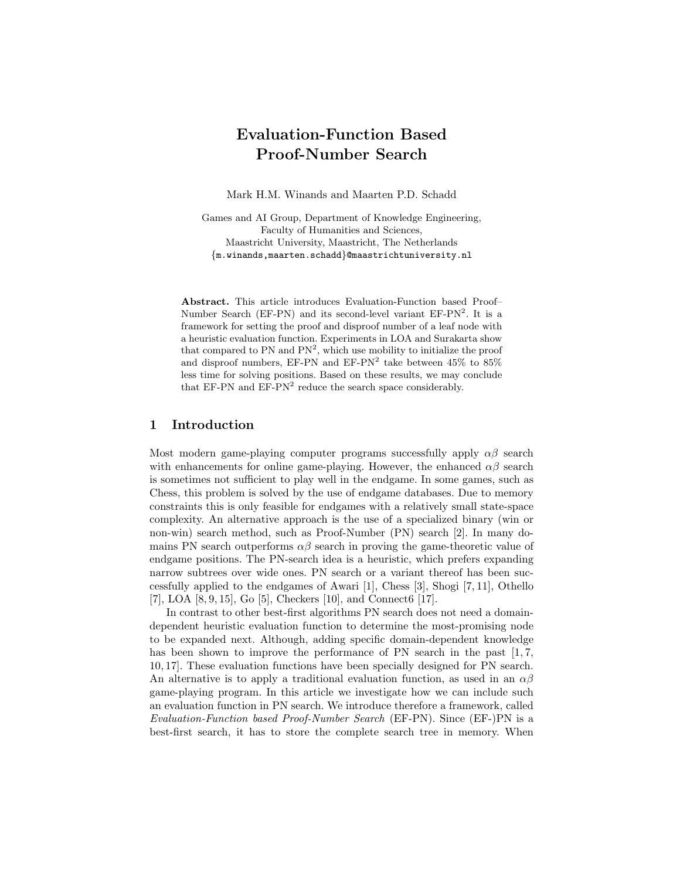# Evaluation-Function Based Proof-Number Search

Mark H.M. Winands and Maarten P.D. Schadd

Games and AI Group, Department of Knowledge Engineering, Faculty of Humanities and Sciences, Maastricht University, Maastricht, The Netherlands {m.winands,maarten.schadd}@maastrichtuniversity.nl

Abstract. This article introduces Evaluation-Function based Proof– Number Search (EF-PN) and its second-level variant  $EF-PN<sup>2</sup>$ . It is a framework for setting the proof and disproof number of a leaf node with a heuristic evaluation function. Experiments in LOA and Surakarta show that compared to  $PN$  and  $PN^2$ , which use mobility to initialize the proof and disproof numbers, EF-PN and  $EF-PN^2$  take between 45% to 85% less time for solving positions. Based on these results, we may conclude that EF-PN and EF-PN<sup>2</sup> reduce the search space considerably.

# 1 Introduction

Most modern game-playing computer programs successfully apply  $\alpha\beta$  search with enhancements for online game-playing. However, the enhanced  $\alpha\beta$  search is sometimes not sufficient to play well in the endgame. In some games, such as Chess, this problem is solved by the use of endgame databases. Due to memory constraints this is only feasible for endgames with a relatively small state-space complexity. An alternative approach is the use of a specialized binary (win or non-win) search method, such as Proof-Number (PN) search [2]. In many domains PN search outperforms  $\alpha\beta$  search in proving the game-theoretic value of endgame positions. The PN-search idea is a heuristic, which prefers expanding narrow subtrees over wide ones. PN search or a variant thereof has been successfully applied to the endgames of Awari [1], Chess [3], Shogi [7, 11], Othello [7], LOA [8, 9, 15], Go [5], Checkers [10], and Connect6 [17].

In contrast to other best-first algorithms PN search does not need a domaindependent heuristic evaluation function to determine the most-promising node to be expanded next. Although, adding specific domain-dependent knowledge has been shown to improve the performance of PN search in the past  $[1, 7, 7]$ 10, 17]. These evaluation functions have been specially designed for PN search. An alternative is to apply a traditional evaluation function, as used in an  $\alpha\beta$ game-playing program. In this article we investigate how we can include such an evaluation function in PN search. We introduce therefore a framework, called Evaluation-Function based Proof-Number Search (EF-PN). Since (EF-)PN is a best-first search, it has to store the complete search tree in memory. When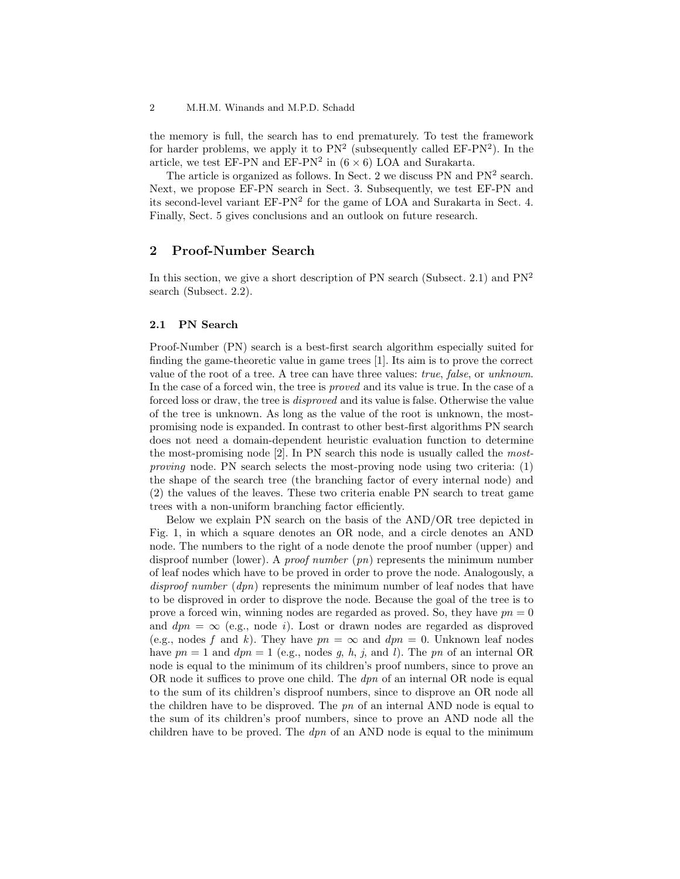the memory is full, the search has to end prematurely. To test the framework for harder problems, we apply it to  $PN^2$  (subsequently called  $EF-PN^2$ ). In the article, we test EF-PN and EF-PN<sup>2</sup> in  $(6 \times 6)$  LOA and Surakarta.

The article is organized as follows. In Sect. 2 we discuss PN and  $PN<sup>2</sup>$  search. Next, we propose EF-PN search in Sect. 3. Subsequently, we test EF-PN and its second-level variant  $EF-PN^2$  for the game of LOA and Surakarta in Sect. 4. Finally, Sect. 5 gives conclusions and an outlook on future research.

# 2 Proof-Number Search

In this section, we give a short description of PN search (Subsect. 2.1) and  $PN<sup>2</sup>$ search (Subsect. 2.2).

# 2.1 PN Search

Proof-Number (PN) search is a best-first search algorithm especially suited for finding the game-theoretic value in game trees [1]. Its aim is to prove the correct value of the root of a tree. A tree can have three values: true, false, or unknown. In the case of a forced win, the tree is proved and its value is true. In the case of a forced loss or draw, the tree is disproved and its value is false. Otherwise the value of the tree is unknown. As long as the value of the root is unknown, the mostpromising node is expanded. In contrast to other best-first algorithms PN search does not need a domain-dependent heuristic evaluation function to determine the most-promising node [2]. In PN search this node is usually called the mostproving node. PN search selects the most-proving node using two criteria: (1) the shape of the search tree (the branching factor of every internal node) and (2) the values of the leaves. These two criteria enable PN search to treat game trees with a non-uniform branching factor efficiently.

Below we explain PN search on the basis of the AND/OR tree depicted in Fig. 1, in which a square denotes an OR node, and a circle denotes an AND node. The numbers to the right of a node denote the proof number (upper) and disproof number (lower). A *proof number*  $(pn)$  represents the minimum number of leaf nodes which have to be proved in order to prove the node. Analogously, a disproof number  $(dpn)$  represents the minimum number of leaf nodes that have to be disproved in order to disprove the node. Because the goal of the tree is to prove a forced win, winning nodes are regarded as proved. So, they have  $pn = 0$ and  $dpn = \infty$  (e.g., node *i*). Lost or drawn nodes are regarded as disproved (e.g., nodes f and k). They have  $pn = \infty$  and  $dpn = 0$ . Unknown leaf nodes have  $pn = 1$  and  $dpn = 1$  (e.g., nodes g, h, j, and l). The pn of an internal OR node is equal to the minimum of its children's proof numbers, since to prove an OR node it suffices to prove one child. The  $dpn$  of an internal OR node is equal to the sum of its children's disproof numbers, since to disprove an OR node all the children have to be disproved. The  $pn$  of an internal AND node is equal to the sum of its children's proof numbers, since to prove an AND node all the children have to be proved. The  $dpn$  of an AND node is equal to the minimum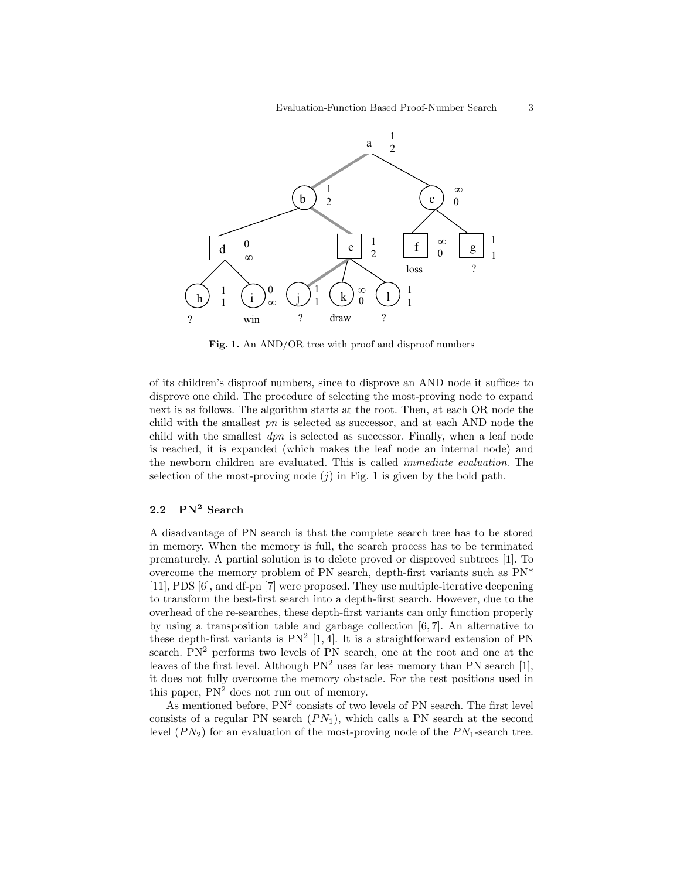

Fig. 1. An AND/OR tree with proof and disproof numbers

of its children's disproof numbers, since to disprove an AND node it suffices to disprove one child. The procedure of selecting the most-proving node to expand next is as follows. The algorithm starts at the root. Then, at each OR node the child with the smallest  $pn$  is selected as successor, and at each AND node the child with the smallest  $dpn$  is selected as successor. Finally, when a leaf node is reached, it is expanded (which makes the leaf node an internal node) and the newborn children are evaluated. This is called immediate evaluation. The selection of the most-proving node  $(j)$  in Fig. 1 is given by the bold path.

# 2.2 PN<sup>2</sup> Search

A disadvantage of PN search is that the complete search tree has to be stored in memory. When the memory is full, the search process has to be terminated prematurely. A partial solution is to delete proved or disproved subtrees [1]. To overcome the memory problem of PN search, depth-first variants such as PN\* [11], PDS [6], and df-pn [7] were proposed. They use multiple-iterative deepening to transform the best-first search into a depth-first search. However, due to the overhead of the re-searches, these depth-first variants can only function properly by using a transposition table and garbage collection [6, 7]. An alternative to these depth-first variants is  $PN^2$  [1, 4]. It is a straightforward extension of PN search. PN<sup>2</sup> performs two levels of PN search, one at the root and one at the leaves of the first level. Although  $PN<sup>2</sup>$  uses far less memory than PN search [1], it does not fully overcome the memory obstacle. For the test positions used in this paper,  $PN<sup>2</sup>$  does not run out of memory.

As mentioned before,  $PN^2$  consists of two levels of PN search. The first level consists of a regular PN search  $(PN_1)$ , which calls a PN search at the second level  $(PN_2)$  for an evaluation of the most-proving node of the  $PN_1$ -search tree.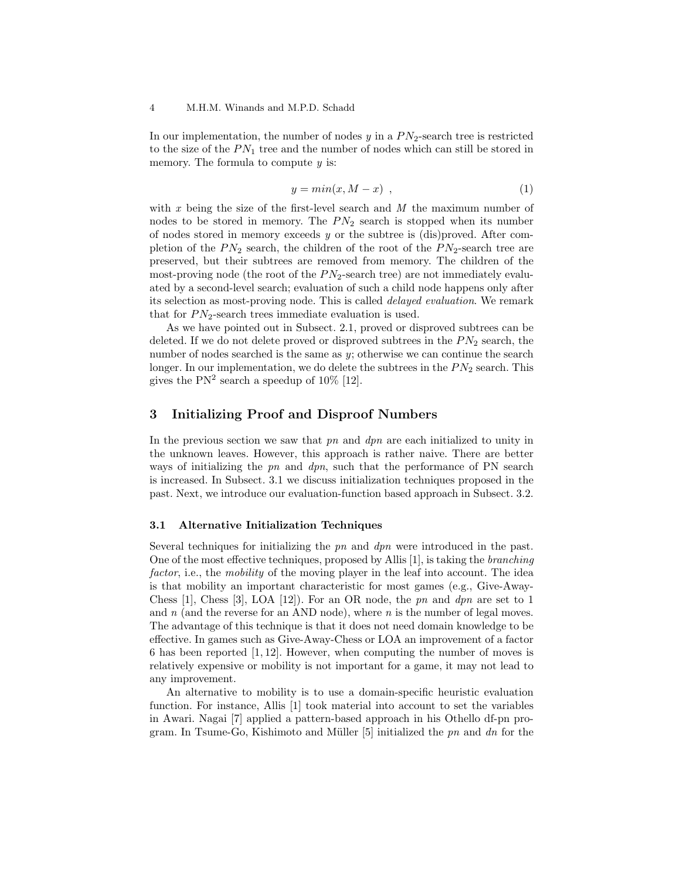In our implementation, the number of nodes  $y$  in a  $PN_2$ -search tree is restricted to the size of the  $PN_1$  tree and the number of nodes which can still be stored in memory. The formula to compute  $y$  is:

$$
y = min(x, M - x) , \t\t(1)
$$

with  $x$  being the size of the first-level search and  $M$  the maximum number of nodes to be stored in memory. The  $PN<sub>2</sub>$  search is stopped when its number of nodes stored in memory exceeds  $y$  or the subtree is (dis)proved. After completion of the  $PN_2$  search, the children of the root of the  $PN_2$ -search tree are preserved, but their subtrees are removed from memory. The children of the most-proving node (the root of the  $PN_2$ -search tree) are not immediately evaluated by a second-level search; evaluation of such a child node happens only after its selection as most-proving node. This is called delayed evaluation. We remark that for  $PN_2$ -search trees immediate evaluation is used.

As we have pointed out in Subsect. 2.1, proved or disproved subtrees can be deleted. If we do not delete proved or disproved subtrees in the  $PN<sub>2</sub>$  search, the number of nodes searched is the same as y; otherwise we can continue the search longer. In our implementation, we do delete the subtrees in the  $PN<sub>2</sub>$  search. This gives the  $PN^2$  search a speedup of  $10\%$  [12].

# 3 Initializing Proof and Disproof Numbers

In the previous section we saw that  $pn$  and  $dpn$  are each initialized to unity in the unknown leaves. However, this approach is rather naive. There are better ways of initializing the  $pn$  and  $dpn$ , such that the performance of PN search is increased. In Subsect. 3.1 we discuss initialization techniques proposed in the past. Next, we introduce our evaluation-function based approach in Subsect. 3.2.

### 3.1 Alternative Initialization Techniques

Several techniques for initializing the pn and dpn were introduced in the past. One of the most effective techniques, proposed by Allis [1], is taking the branching factor, i.e., the mobility of the moving player in the leaf into account. The idea is that mobility an important characteristic for most games (e.g., Give-Away-Chess [1], Chess [3], LOA [12]). For an OR node, the pn and dpn are set to 1 and n (and the reverse for an AND node), where  $n$  is the number of legal moves. The advantage of this technique is that it does not need domain knowledge to be effective. In games such as Give-Away-Chess or LOA an improvement of a factor 6 has been reported [1, 12]. However, when computing the number of moves is relatively expensive or mobility is not important for a game, it may not lead to any improvement.

An alternative to mobility is to use a domain-specific heuristic evaluation function. For instance, Allis [1] took material into account to set the variables in Awari. Nagai [7] applied a pattern-based approach in his Othello df-pn program. In Tsume-Go, Kishimoto and Müller  $[5]$  initialized the pn and dn for the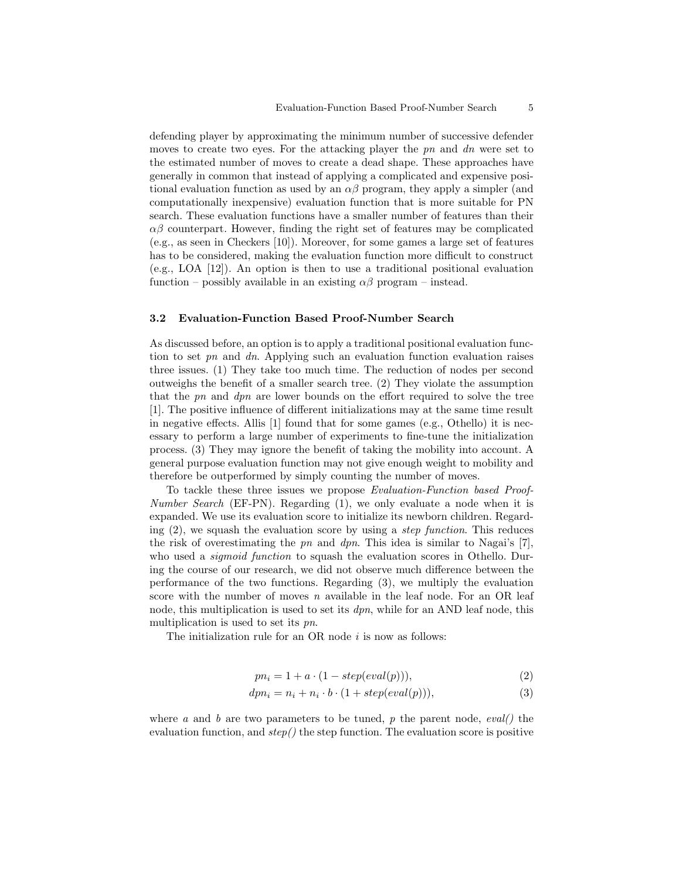defending player by approximating the minimum number of successive defender moves to create two eyes. For the attacking player the  $pn$  and  $dn$  were set to the estimated number of moves to create a dead shape. These approaches have generally in common that instead of applying a complicated and expensive positional evaluation function as used by an  $\alpha\beta$  program, they apply a simpler (and computationally inexpensive) evaluation function that is more suitable for PN search. These evaluation functions have a smaller number of features than their  $\alpha\beta$  counterpart. However, finding the right set of features may be complicated (e.g., as seen in Checkers [10]). Moreover, for some games a large set of features has to be considered, making the evaluation function more difficult to construct (e.g., LOA [12]). An option is then to use a traditional positional evaluation function – possibly available in an existing  $\alpha\beta$  program – instead.

# 3.2 Evaluation-Function Based Proof-Number Search

As discussed before, an option is to apply a traditional positional evaluation function to set pn and dn. Applying such an evaluation function evaluation raises three issues. (1) They take too much time. The reduction of nodes per second outweighs the benefit of a smaller search tree. (2) They violate the assumption that the pn and dpn are lower bounds on the effort required to solve the tree [1]. The positive influence of different initializations may at the same time result in negative effects. Allis [1] found that for some games (e.g., Othello) it is necessary to perform a large number of experiments to fine-tune the initialization process. (3) They may ignore the benefit of taking the mobility into account. A general purpose evaluation function may not give enough weight to mobility and therefore be outperformed by simply counting the number of moves.

To tackle these three issues we propose Evaluation-Function based Proof-Number Search (EF-PN). Regarding (1), we only evaluate a node when it is expanded. We use its evaluation score to initialize its newborn children. Regarding  $(2)$ , we squash the evaluation score by using a *step function*. This reduces the risk of overestimating the  $pn$  and  $dpn$ . This idea is similar to Nagai's [7], who used a *sigmoid function* to squash the evaluation scores in Othello. During the course of our research, we did not observe much difference between the performance of the two functions. Regarding (3), we multiply the evaluation score with the number of moves  $n$  available in the leaf node. For an OR leaf node, this multiplication is used to set its  $dpn$ , while for an AND leaf node, this multiplication is used to set its pn.

The initialization rule for an OR node  $i$  is now as follows:

$$
pn_i = 1 + a \cdot (1 - step(eval(p))), \qquad (2)
$$

$$
dpn_i = n_i + n_i \cdot b \cdot (1 + step(eval(p))), \tag{3}
$$

where a and b are two parameters to be tuned, p the parent node, eval() the evaluation function, and  $step()$  the step function. The evaluation score is positive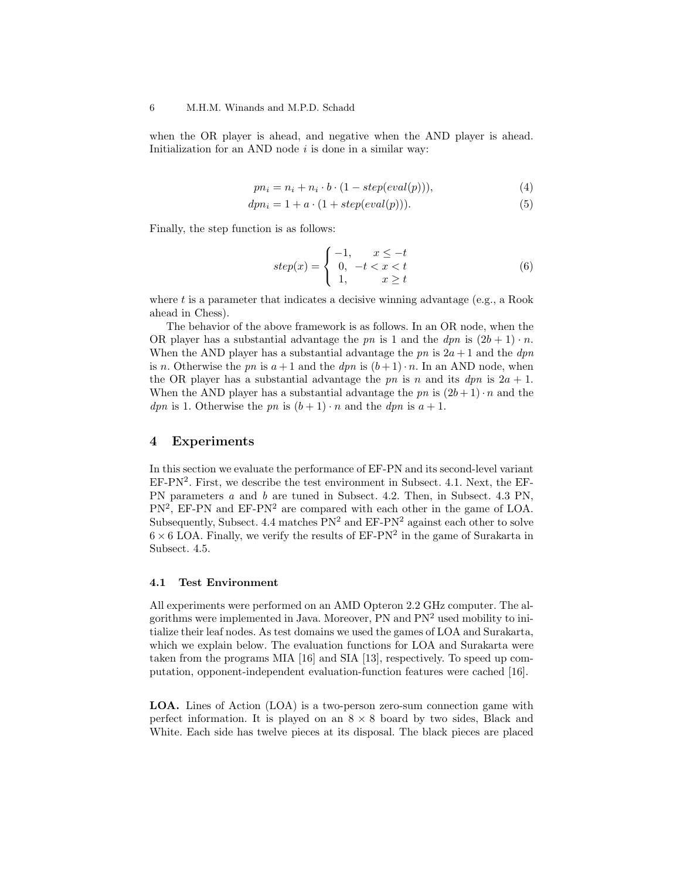when the OR player is ahead, and negative when the AND player is ahead. Initialization for an AND node  $i$  is done in a similar way:

$$
pn_i = n_i + n_i \cdot b \cdot (1 - step(eval(p))), \tag{4}
$$

$$
dpni = 1 + a \cdot (1 + step(eval(p))). \qquad (5)
$$

Finally, the step function is as follows:

$$
step(x) = \begin{cases} -1, & x \le -t \\ 0, & -t < x < t \\ 1, & x \ge t \end{cases} \tag{6}
$$

where  $t$  is a parameter that indicates a decisive winning advantage (e.g., a Rook ahead in Chess).

The behavior of the above framework is as follows. In an OR node, when the OR player has a substantial advantage the pn is 1 and the dpn is  $(2b + 1) \cdot n$ . When the AND player has a substantial advantage the pn is  $2a + 1$  and the dpn is n. Otherwise the pn is  $a+1$  and the dpn is  $(b+1)\cdot n$ . In an AND node, when the OR player has a substantial advantage the pn is n and its  $dpn$  is  $2a + 1$ . When the AND player has a substantial advantage the pn is  $(2b+1)\cdot n$  and the *dpn* is 1. Otherwise the pn is  $(b+1) \cdot n$  and the *dpn* is  $a+1$ .

# 4 Experiments

In this section we evaluate the performance of EF-PN and its second-level variant  $EF-PN<sup>2</sup>$ . First, we describe the test environment in Subsect. 4.1. Next, the  $EF$ -PN parameters a and b are tuned in Subsect. 4.2. Then, in Subsect. 4.3 PN,  $PN^2$ , EF-PN and EF-PN<sup>2</sup> are compared with each other in the game of LOA. Subsequently, Subsect. 4.4 matches  $PN^2$  and  $EF-PN^2$  against each other to solve  $6 \times 6$  LOA. Finally, we verify the results of EF-PN<sup>2</sup> in the game of Surakarta in Subsect. 4.5.

#### 4.1 Test Environment

All experiments were performed on an AMD Opteron 2.2 GHz computer. The algorithms were implemented in Java. Moreover, PN and PN<sup>2</sup> used mobility to initialize their leaf nodes. As test domains we used the games of LOA and Surakarta, which we explain below. The evaluation functions for LOA and Surakarta were taken from the programs MIA [16] and SIA [13], respectively. To speed up computation, opponent-independent evaluation-function features were cached [16].

LOA. Lines of Action (LOA) is a two-person zero-sum connection game with perfect information. It is played on an  $8 \times 8$  board by two sides, Black and White. Each side has twelve pieces at its disposal. The black pieces are placed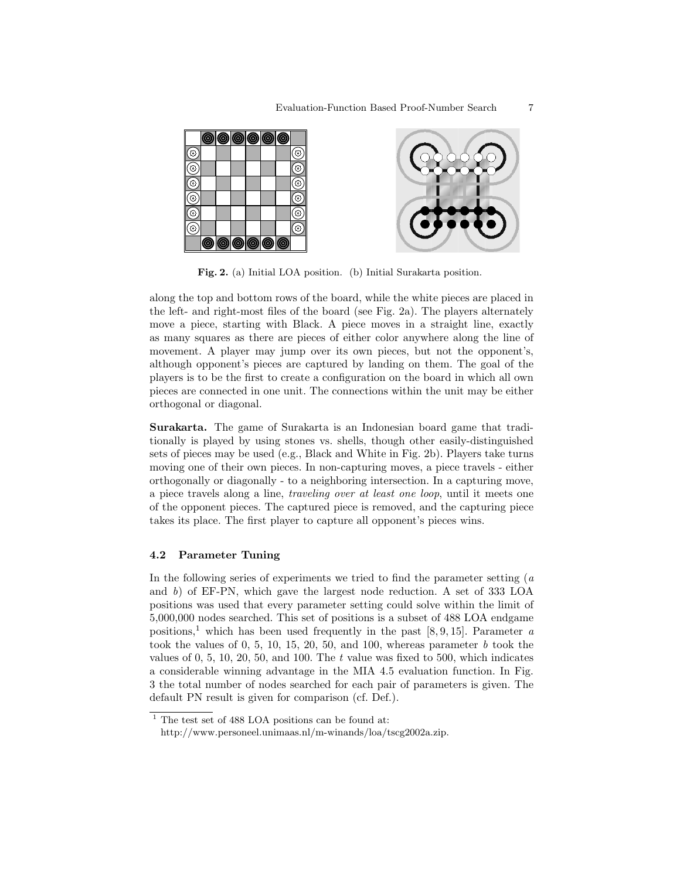

Fig. 2. (a) Initial LOA position. (b) Initial Surakarta position.

along the top and bottom rows of the board, while the white pieces are placed in the left- and right-most files of the board (see Fig. 2a). The players alternately move a piece, starting with Black. A piece moves in a straight line, exactly as many squares as there are pieces of either color anywhere along the line of movement. A player may jump over its own pieces, but not the opponent's, although opponent's pieces are captured by landing on them. The goal of the players is to be the first to create a configuration on the board in which all own pieces are connected in one unit. The connections within the unit may be either orthogonal or diagonal.

Surakarta. The game of Surakarta is an Indonesian board game that traditionally is played by using stones vs. shells, though other easily-distinguished sets of pieces may be used (e.g., Black and White in Fig. 2b). Players take turns moving one of their own pieces. In non-capturing moves, a piece travels - either orthogonally or diagonally - to a neighboring intersection. In a capturing move, a piece travels along a line, traveling over at least one loop, until it meets one of the opponent pieces. The captured piece is removed, and the capturing piece takes its place. The first player to capture all opponent's pieces wins.

# 4.2 Parameter Tuning

In the following series of experiments we tried to find the parameter setting  $(a)$ and b) of EF-PN, which gave the largest node reduction. A set of 333 LOA positions was used that every parameter setting could solve within the limit of 5,000,000 nodes searched. This set of positions is a subset of 488 LOA endgame positions,<sup>1</sup> which has been used frequently in the past [8, 9, 15]. Parameter a took the values of 0, 5, 10, 15, 20, 50, and 100, whereas parameter  $b$  took the values of  $0, 5, 10, 20, 50,$  and  $100$ . The t value was fixed to  $500$ , which indicates a considerable winning advantage in the MIA 4.5 evaluation function. In Fig. 3 the total number of nodes searched for each pair of parameters is given. The default PN result is given for comparison (cf. Def.).

 $1$  The test set of 488 LOA positions can be found at:

http://www.personeel.unimaas.nl/m-winands/loa/tscg2002a.zip.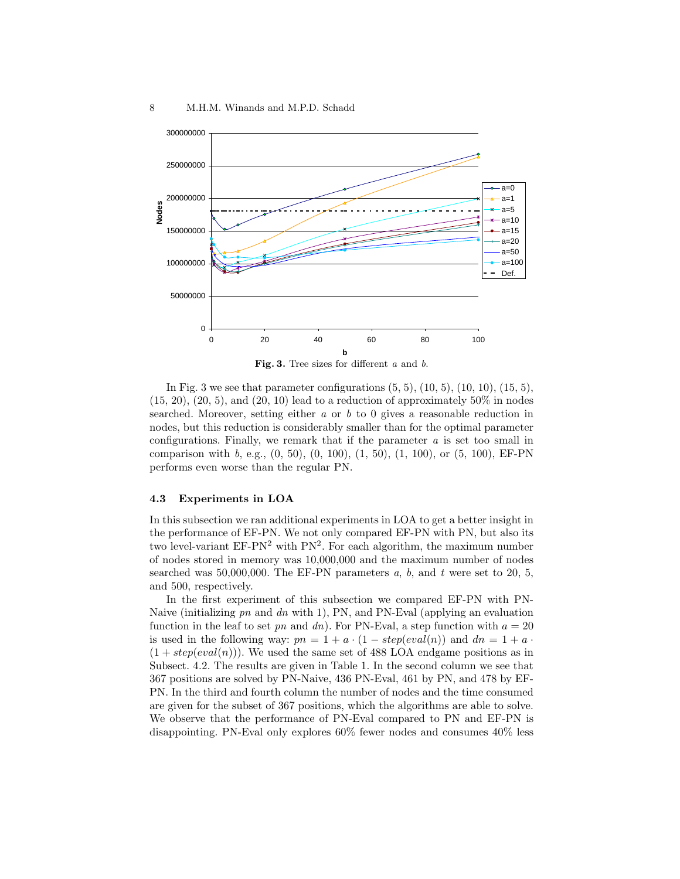

In Fig. 3 we see that parameter configurations  $(5, 5)$ ,  $(10, 5)$ ,  $(10, 10)$ ,  $(15, 5)$ ,  $(15, 20), (20, 5),$  and  $(20, 10)$  lead to a reduction of approximately 50% in nodes searched. Moreover, setting either  $a$  or  $b$  to 0 gives a reasonable reduction in nodes, but this reduction is considerably smaller than for the optimal parameter configurations. Finally, we remark that if the parameter a is set too small in comparison with b, e.g.,  $(0, 50)$ ,  $(0, 100)$ ,  $(1, 50)$ ,  $(1, 100)$ , or  $(5, 100)$ , EF-PN performs even worse than the regular PN.

### 4.3 Experiments in LOA

In this subsection we ran additional experiments in LOA to get a better insight in the performance of EF-PN. We not only compared EF-PN with PN, but also its two level-variant EF-PN<sup>2</sup> with PN<sup>2</sup>. For each algorithm, the maximum number of nodes stored in memory was 10,000,000 and the maximum number of nodes searched was 50,000,000. The EF-PN parameters  $a, b$ , and  $t$  were set to 20, 5, and 500, respectively.

In the first experiment of this subsection we compared EF-PN with PN-Naive (initializing pn and dn with 1), PN, and PN-Eval (applying an evaluation function in the leaf to set pn and dn). For PN-Eval, a step function with  $a = 20$ is used in the following way:  $pn = 1 + a \cdot (1 - step(eval(n))$  and  $dn = 1 + a \cdot$  $(1 + step(eval(n)))$ . We used the same set of 488 LOA endgame positions as in Subsect. 4.2. The results are given in Table 1. In the second column we see that 367 positions are solved by PN-Naive, 436 PN-Eval, 461 by PN, and 478 by EF-PN. In the third and fourth column the number of nodes and the time consumed are given for the subset of 367 positions, which the algorithms are able to solve. We observe that the performance of PN-Eval compared to PN and EF-PN is disappointing. PN-Eval only explores 60% fewer nodes and consumes 40% less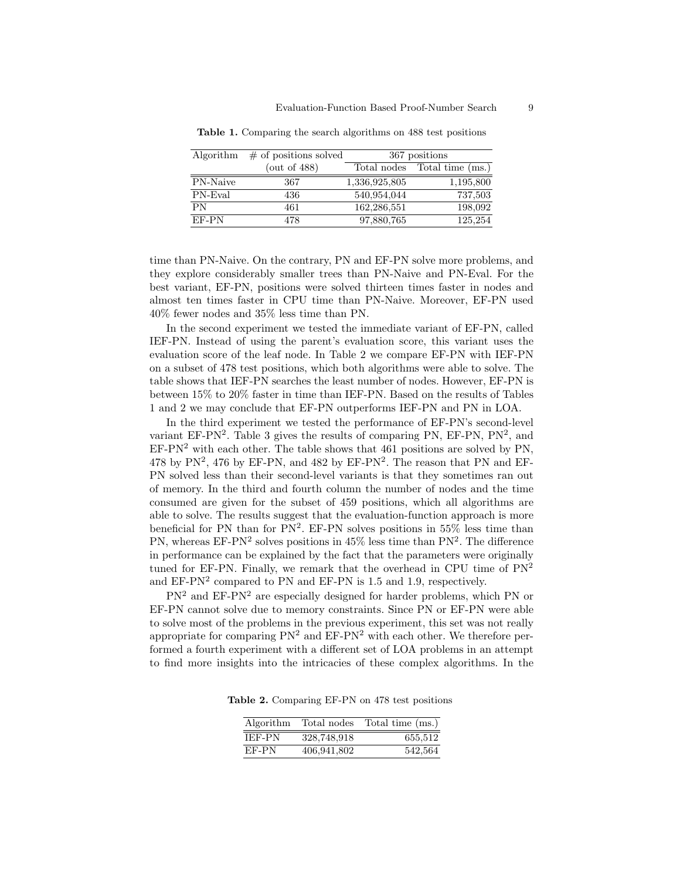|          | Algorithm $\#$ of positions solved | 367 positions |                              |
|----------|------------------------------------|---------------|------------------------------|
|          | (out of $488$ )                    |               | Total nodes Total time (ms.) |
| PN-Naive | 367                                | 1,336,925,805 | 1,195,800                    |
| PN-Eval  | 436                                | 540,954,044   | 737,503                      |
| PN       | 461                                | 162, 286, 551 | 198,092                      |
| EF-PN    | 478                                | 97,880,765    | 125,254                      |

Table 1. Comparing the search algorithms on 488 test positions

time than PN-Naive. On the contrary, PN and EF-PN solve more problems, and they explore considerably smaller trees than PN-Naive and PN-Eval. For the best variant, EF-PN, positions were solved thirteen times faster in nodes and almost ten times faster in CPU time than PN-Naive. Moreover, EF-PN used 40% fewer nodes and 35% less time than PN.

In the second experiment we tested the immediate variant of EF-PN, called IEF-PN. Instead of using the parent's evaluation score, this variant uses the evaluation score of the leaf node. In Table 2 we compare EF-PN with IEF-PN on a subset of 478 test positions, which both algorithms were able to solve. The table shows that IEF-PN searches the least number of nodes. However, EF-PN is between 15% to 20% faster in time than IEF-PN. Based on the results of Tables 1 and 2 we may conclude that EF-PN outperforms IEF-PN and PN in LOA.

In the third experiment we tested the performance of EF-PN's second-level variant  $EF-PN<sup>2</sup>$ . Table 3 gives the results of comparing PN,  $EF-PN$ ,  $PN<sup>2</sup>$ , and  $EF-PN<sup>2</sup>$  with each other. The table shows that 461 positions are solved by PN, 478 by PN<sup>2</sup>, 476 by EF-PN, and 482 by EF-PN<sup>2</sup>. The reason that PN and EF-PN solved less than their second-level variants is that they sometimes ran out of memory. In the third and fourth column the number of nodes and the time consumed are given for the subset of 459 positions, which all algorithms are able to solve. The results suggest that the evaluation-function approach is more beneficial for PN than for  $PN^2$ . EF-PN solves positions in 55% less time than PN, whereas  $EF-PN^2$  solves positions in 45% less time than  $PN^2$ . The difference in performance can be explained by the fact that the parameters were originally tuned for EF-PN. Finally, we remark that the overhead in CPU time of  $PN^2$ and  $EF-PN<sup>2</sup>$  compared to PN and  $EF-PN$  is 1.5 and 1.9, respectively.

PN<sup>2</sup> and EF-PN<sup>2</sup> are especially designed for harder problems, which PN or EF-PN cannot solve due to memory constraints. Since PN or EF-PN were able to solve most of the problems in the previous experiment, this set was not really appropriate for comparing  $PN^2$  and  $EF-PN^2$  with each other. We therefore performed a fourth experiment with a different set of LOA problems in an attempt to find more insights into the intricacies of these complex algorithms. In the

Table 2. Comparing EF-PN on 478 test positions

| Algorithm     | Total nodes | Total time (ms.) |
|---------------|-------------|------------------|
| <b>IEF-PN</b> | 328,748,918 | 655,512          |
| EF-PN         | 406,941,802 | 542,564          |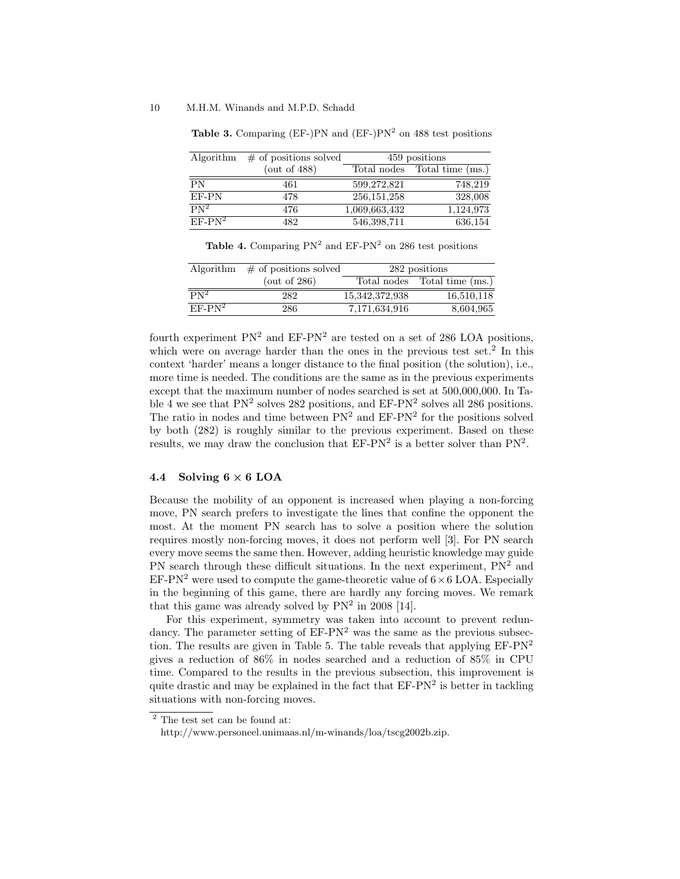#### 10 M.H.M. Winands and M.P.D. Schadd

| Algorithm       | $\#$ of positions solved | 459 positions |                              |
|-----------------|--------------------------|---------------|------------------------------|
|                 | (out of $488$ )          |               | Total nodes Total time (ms.) |
| $\overline{PN}$ | 461                      | 599,272,821   | 748,219                      |
| EF-PN           | 478                      | 256, 151, 258 | 328,008                      |
| $PN^2$          | 476                      | 1,069,663,432 | 1,124,973                    |
| $EF-PN2$        | 482                      | 546,398,711   | 636,154                      |

Table 3. Comparing (EF-)PN and (EF-)PN<sup>2</sup> on 488 test positions

Table 4. Comparing  $PN^2$  and  $EF-PN^2$  on 286 test positions

|          | Algorithm $\#$ of positions solved | 282 positions  |                              |
|----------|------------------------------------|----------------|------------------------------|
|          | (out of $286$ )                    |                | Total nodes Total time (ms.) |
| $PN^2$   | 282                                | 15,342,372,938 | 16,510,118                   |
| $EF-PN2$ | 286                                | 7,171,634,916  | 8,604,965                    |

fourth experiment  $PN^2$  and  $EF-PN^2$  are tested on a set of 286 LOA positions, which were on average harder than the ones in the previous test set.<sup>2</sup> In this context 'harder' means a longer distance to the final position (the solution), i.e., more time is needed. The conditions are the same as in the previous experiments except that the maximum number of nodes searched is set at 500,000,000. In Table 4 we see that  $PN^2$  solves 282 positions, and  $EF-PN^2$  solves all 286 positions. The ratio in nodes and time between  $PN^2$  and  $EF-PN^2$  for the positions solved by both (282) is roughly similar to the previous experiment. Based on these results, we may draw the conclusion that  $EF-PN^2$  is a better solver than  $PN^2$ .

# 4.4 Solving  $6 \times 6$  LOA

Because the mobility of an opponent is increased when playing a non-forcing move, PN search prefers to investigate the lines that confine the opponent the most. At the moment PN search has to solve a position where the solution requires mostly non-forcing moves, it does not perform well [3]. For PN search every move seems the same then. However, adding heuristic knowledge may guide PN search through these difficult situations. In the next experiment,  $PN<sup>2</sup>$  and EF-PN<sup>2</sup> were used to compute the game-theoretic value of  $6 \times 6$  LOA. Especially in the beginning of this game, there are hardly any forcing moves. We remark that this game was already solved by  $PN<sup>2</sup>$  in 2008 [14].

For this experiment, symmetry was taken into account to prevent redundancy. The parameter setting of  $E\text{F-PN}^2$  was the same as the previous subsection. The results are given in Table 5. The table reveals that applying  $EF-PN^2$ gives a reduction of 86% in nodes searched and a reduction of 85% in CPU time. Compared to the results in the previous subsection, this improvement is quite drastic and may be explained in the fact that  $EF-PN^2$  is better in tackling situations with non-forcing moves.

<sup>2</sup> The test set can be found at:

http://www.personeel.unimaas.nl/m-winands/loa/tscg2002b.zip.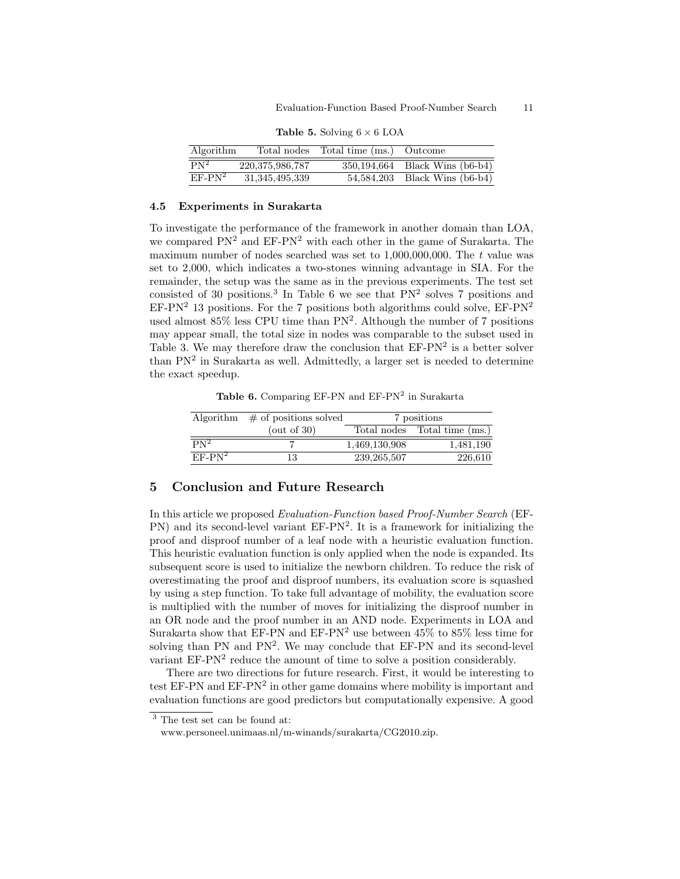| Algorithm                    |                    | Total nodes Total time (ms.) Outcome |                                |
|------------------------------|--------------------|--------------------------------------|--------------------------------|
| $\overline{\mathrm{PN}^2}$ . | 220, 375, 986, 787 |                                      | 350,194,664 Black Wins (b6-b4) |
| $EF-PN^2$                    | 31, 345, 495, 339  |                                      | 54,584,203 Black Wins (b6-b4)  |

**Table 5.** Solving  $6 \times 6$  LOA

# 4.5 Experiments in Surakarta

To investigate the performance of the framework in another domain than LOA, we compared  $PN<sup>2</sup>$  and  $EF-PN<sup>2</sup>$  with each other in the game of Surakarta. The maximum number of nodes searched was set to  $1,000,000,000$ . The t value was set to 2,000, which indicates a two-stones winning advantage in SIA. For the remainder, the setup was the same as in the previous experiments. The test set consisted of 30 positions.<sup>3</sup> In Table 6 we see that  $PN<sup>2</sup>$  solves 7 positions and  $EF-PN<sup>2</sup>$  13 positions. For the 7 positions both algorithms could solve,  $EF-PN<sup>2</sup>$ used almost 85% less CPU time than PN<sup>2</sup> . Although the number of 7 positions may appear small, the total size in nodes was comparable to the subset used in Table 3. We may therefore draw the conclusion that  $EF-PN^2$  is a better solver than  $PN<sup>2</sup>$  in Surakarta as well. Admittedly, a larger set is needed to determine the exact speedup.

Table 6. Comparing EF-PN and  $EF-PN^2$  in Surakarta

|          | Algorithm $\#$ of positions solved | 7 positions   |                              |
|----------|------------------------------------|---------------|------------------------------|
|          | (out of $30$ )                     |               | Total nodes Total time (ms.) |
| $PN^2$   |                                    | 1,469,130,908 | 1,481,190                    |
| $EF-PN2$ | 13                                 | 239, 265, 507 | 226,610                      |

# 5 Conclusion and Future Research

In this article we proposed Evaluation-Function based Proof-Number Search (EF-PN) and its second-level variant EF-PN<sup>2</sup>. It is a framework for initializing the proof and disproof number of a leaf node with a heuristic evaluation function. This heuristic evaluation function is only applied when the node is expanded. Its subsequent score is used to initialize the newborn children. To reduce the risk of overestimating the proof and disproof numbers, its evaluation score is squashed by using a step function. To take full advantage of mobility, the evaluation score is multiplied with the number of moves for initializing the disproof number in an OR node and the proof number in an AND node. Experiments in LOA and Surakarta show that EF-PN and EF-PN<sup>2</sup> use between  $45\%$  to  $85\%$  less time for solving than PN and  $PN^2$ . We may conclude that EF-PN and its second-level variant  $EF-PN<sup>2</sup>$  reduce the amount of time to solve a position considerably.

There are two directions for future research. First, it would be interesting to test EF-PN and  $E\text{F-PN}^2$  in other game domains where mobility is important and evaluation functions are good predictors but computationally expensive. A good

 $^3$  The test set can be found at:

www.personeel.unimaas.nl/m-winands/surakarta/CG2010.zip.